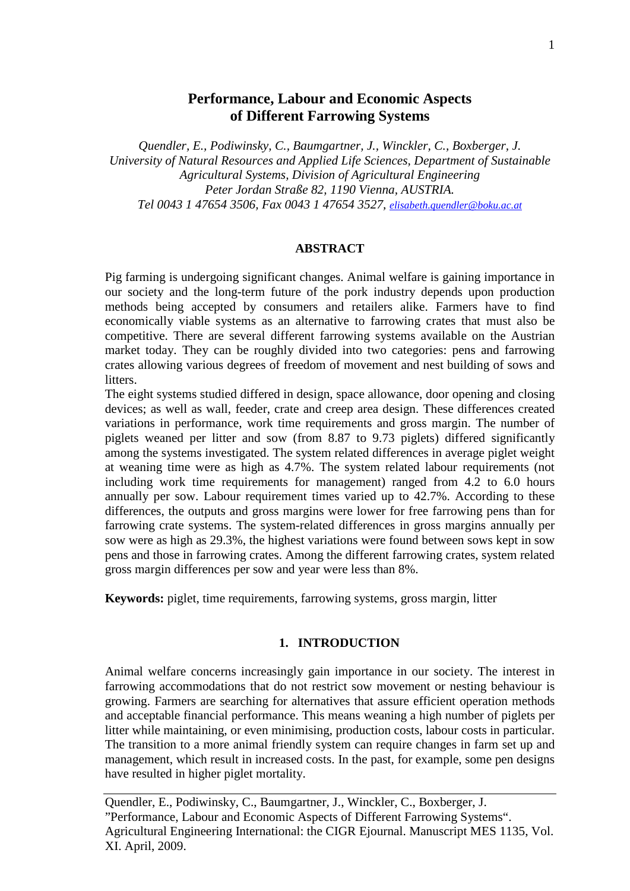# **Performance, Labour and Economic Aspects of Different Farrowing Systems**

*Quendler, E., Podiwinsky, C., Baumgartner, J., Winckler, C., Boxberger, J. University of Natural Resources and Applied Life Sciences, Department of Sustainable Agricultural Systems, Division of Agricultural Engineering Peter Jordan Straße 82, 1190 Vienna, AUSTRIA. Tel 0043 1 47654 3506, Fax 0043 1 47654 3527, [elisabeth.quendler@boku.ac.at](mailto:elisabeth.quendler@boku.ac.at)*

### **ABSTRACT**

Pig farming is undergoing significant changes. Animal welfare is gaining importance in our society and the long-term future of the pork industry depends upon production methods being accepted by consumers and retailers alike. Farmers have to find economically viable systems as an alternative to farrowing crates that must also be competitive. There are several different farrowing systems available on the Austrian market today. They can be roughly divided into two categories: pens and farrowing crates allowing various degrees of freedom of movement and nest building of sows and litters.

The eight systems studied differed in design, space allowance, door opening and closing devices; as well as wall, feeder, crate and creep area design. These differences created variations in performance, work time requirements and gross margin. The number of piglets weaned per litter and sow (from 8.87 to 9.73 piglets) differed significantly among the systems investigated. The system related differences in average piglet weight at weaning time were as high as 4.7%. The system related labour requirements (not including work time requirements for management) ranged from 4.2 to 6.0 hours annually per sow. Labour requirement times varied up to 42.7%. According to these differences, the outputs and gross margins were lower for free farrowing pens than for farrowing crate systems. The system-related differences in gross margins annually per sow were as high as 29.3%, the highest variations were found between sows kept in sow pens and those in farrowing crates. Among the different farrowing crates, system related gross margin differences per sow and year were less than 8%.

**Keywords:** piglet, time requirements, farrowing systems, gross margin, litter

### **1. INTRODUCTION**

Animal welfare concerns increasingly gain importance in our society. The interest in farrowing accommodations that do not restrict sow movement or nesting behaviour is growing. Farmers are searching for alternatives that assure efficient operation methods and acceptable financial performance. This means weaning a high number of piglets per litter while maintaining, or even minimising, production costs, labour costs in particular. The transition to a more animal friendly system can require changes in farm set up and management, which result in increased costs. In the past, for example, some pen designs have resulted in higher piglet mortality.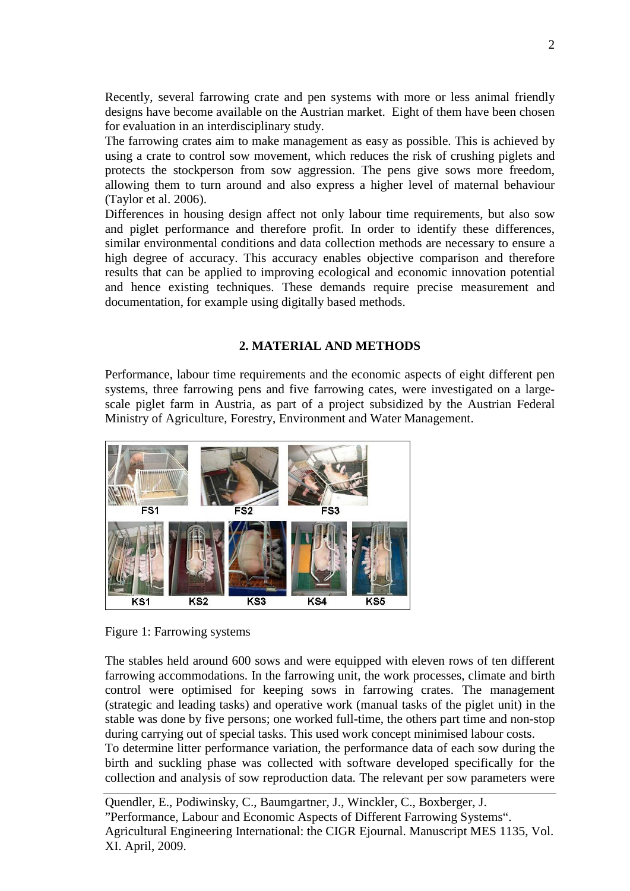Recently, several farrowing crate and pen systems with more or less animal friendly designs have become available on the Austrian market. Eight of them have been chosen for evaluation in an interdisciplinary study.

The farrowing crates aim to make management as easy as possible. This is achieved by using a crate to control sow movement, which reduces the risk of crushing piglets and protects the stockperson from sow aggression. The pens give sows more freedom, allowing them to turn around and also express a higher level of maternal behaviour (Taylor et al. 2006).

Differences in housing design affect not only labour time requirements, but also sow and piglet performance and therefore profit. In order to identify these differences, similar environmental conditions and data collection methods are necessary to ensure a high degree of accuracy. This accuracy enables objective comparison and therefore results that can be applied to improving ecological and economic innovation potential and hence existing techniques. These demands require precise measurement and documentation, for example using digitally based methods.

## **2. MATERIAL AND METHODS**

Performance, labour time requirements and the economic aspects of eight different pen systems, three farrowing pens and five farrowing cates, were investigated on a largescale piglet farm in Austria, as part of a project subsidized by the Austrian Federal Ministry of Agriculture, Forestry, Environment and Water Management.





The stables held around 600 sows and were equipped with eleven rows of ten different farrowing accommodations. In the farrowing unit, the work processes, climate and birth control were optimised for keeping sows in farrowing crates. The management (strategic and leading tasks) and operative work (manual tasks of the piglet unit) in the stable was done by five persons; one worked full-time, the others part time and non-stop during carrying out of special tasks. This used work concept minimised labour costs.

To determine litter performance variation, the performance data of each sow during the birth and suckling phase was collected with software developed specifically for the collection and analysis of sow reproduction data. The relevant per sow parameters were

Quendler, E., Podiwinsky, C., Baumgartner, J., Winckler, C., Boxberger, J. "Performance, Labour and Economic Aspects of Different Farrowing Systems". Agricultural Engineering International: the CIGR Ejournal. Manuscript MES 1135, Vol. XI. April, 2009.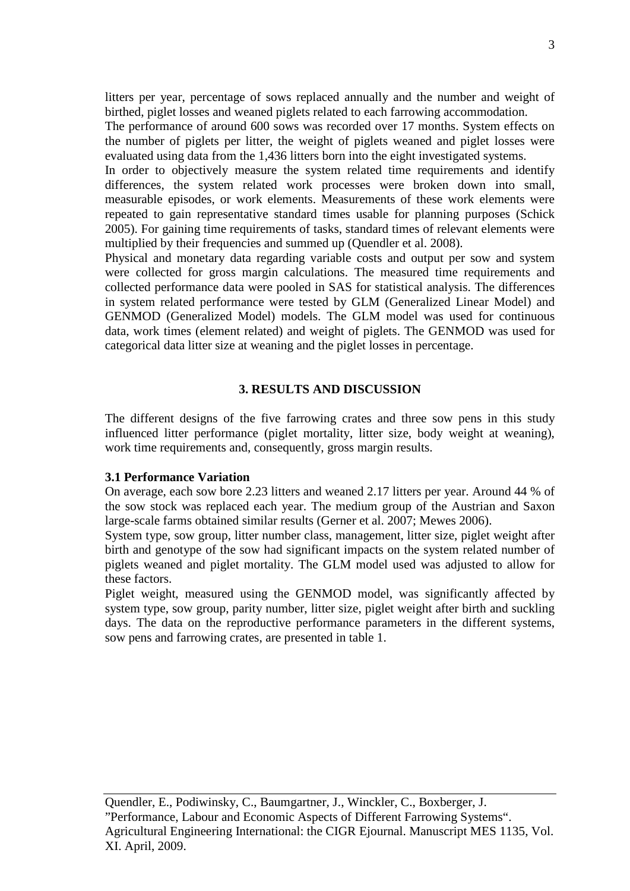litters per year, percentage of sows replaced annually and the number and weight of birthed, piglet losses and weaned piglets related to each farrowing accommodation.

The performance of around 600 sows was recorded over 17 months. System effects on the number of piglets per litter, the weight of piglets weaned and piglet losses were evaluated using data from the 1,436 litters born into the eight investigated systems.

In order to objectively measure the system related time requirements and identify differences, the system related work processes were broken down into small, measurable episodes, or work elements. Measurements of these work elements were repeated to gain representative standard times usable for planning purposes (Schick 2005). For gaining time requirements of tasks, standard times of relevant elements were multiplied by their frequencies and summed up (Quendler et al. 2008).

Physical and monetary data regarding variable costs and output per sow and system were collected for gross margin calculations. The measured time requirements and collected performance data were pooled in SAS for statistical analysis. The differences in system related performance were tested by GLM (Generalized Linear Model) and GENMOD (Generalized Model) models. The GLM model was used for continuous data, work times (element related) and weight of piglets. The GENMOD was used for categorical data litter size at weaning and the piglet losses in percentage.

### **3. RESULTS AND DISCUSSION**

The different designs of the five farrowing crates and three sow pens in this study influenced litter performance (piglet mortality, litter size, body weight at weaning), work time requirements and, consequently, gross margin results.

#### **3.1 Performance Variation**

On average, each sow bore 2.23 litters and weaned 2.17 litters per year. Around 44 % of the sow stock was replaced each year. The medium group of the Austrian and Saxon large-scale farms obtained similar results (Gerner et al. 2007; Mewes 2006).

System type, sow group, litter number class, management, litter size, piglet weight after birth and genotype of the sow had significant impacts on the system related number of piglets weaned and piglet mortality. The GLM model used was adjusted to allow for these factors.

Piglet weight, measured using the GENMOD model, was significantly affected by system type, sow group, parity number, litter size, piglet weight after birth and suckling days. The data on the reproductive performance parameters in the different systems, sow pens and farrowing crates, are presented in table 1.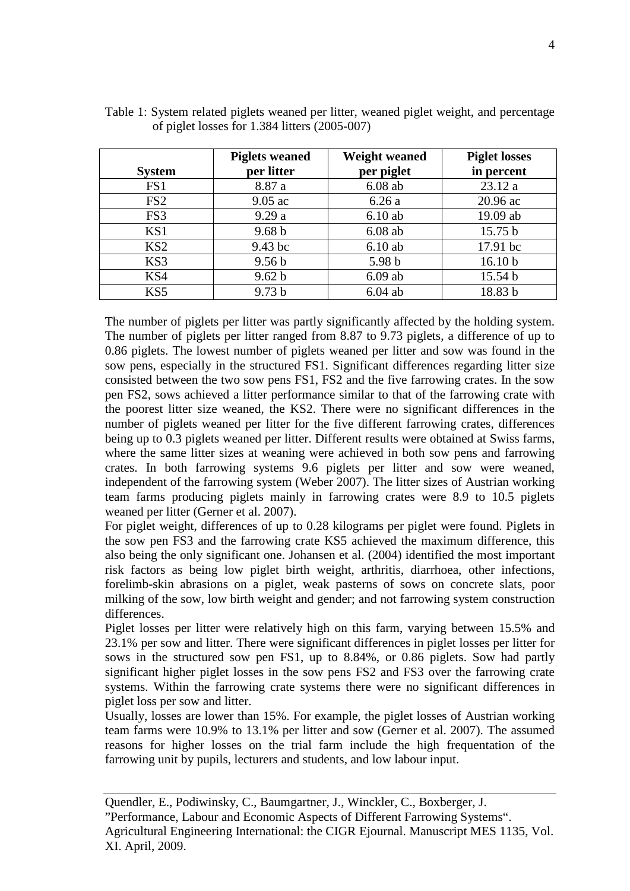|                 | <b>Piglets weaned</b> | <b>Weight weaned</b> | <b>Piglet losses</b> |
|-----------------|-----------------------|----------------------|----------------------|
| <b>System</b>   | per litter            | per piglet           | in percent           |
| FS1             | 8.87 a                | $6.08$ ab            | 23.12 a              |
| FS <sub>2</sub> | $9.05$ ac             | 6.26a                | 20.96 ac             |
| FS3             | 9.29a                 | 6.10ab               | 19.09 ab             |
| KS1             | 9.68 <sub>b</sub>     | $6.08$ ab            | 15.75 b              |
| KS <sub>2</sub> | 9.43 bc               | 6.10ab               | 17.91 bc             |
| KS3             | 9.56 <sub>b</sub>     | 5.98 b               | 16.10 <sub>b</sub>   |
| KS4             | 9.62 b                | $6.09$ ab            | 15.54 b              |
| KS5             | 9.73 <sub>b</sub>     | $6.04$ ab            | 18.83 b              |

| Table 1: System related piglets weaned per litter, weaned piglet weight, and percentage |  |  |
|-----------------------------------------------------------------------------------------|--|--|
| of piglet losses for $1.384$ litters $(2005-007)$                                       |  |  |

The number of piglets per litter was partly significantly affected by the holding system. The number of piglets per litter ranged from 8.87 to 9.73 piglets, a difference of up to 0.86 piglets. The lowest number of piglets weaned per litter and sow was found in the sow pens, especially in the structured FS1. Significant differences regarding litter size consisted between the two sow pens FS1, FS2 and the five farrowing crates. In the sow pen FS2, sows achieved a litter performance similar to that of the farrowing crate with the poorest litter size weaned, the KS2. There were no significant differences in the number of piglets weaned per litter for the five different farrowing crates, differences being up to 0.3 piglets weaned per litter. Different results were obtained at Swiss farms, where the same litter sizes at weaning were achieved in both sow pens and farrowing crates. In both farrowing systems 9.6 piglets per litter and sow were weaned, independent of the farrowing system (Weber 2007). The litter sizes of Austrian working team farms producing piglets mainly in farrowing crates were 8.9 to 10.5 piglets weaned per litter (Gerner et al. 2007).

For piglet weight, differences of up to 0.28 kilograms per piglet were found. Piglets in the sow pen FS3 and the farrowing crate KS5 achieved the maximum difference, this also being the only significant one. Johansen et al. (2004) identified the most important risk factors as being low piglet birth weight, arthritis, diarrhoea, other infections, forelimb-skin abrasions on a piglet, weak pasterns of sows on concrete slats, poor milking of the sow, low birth weight and gender; and not farrowing system construction differences.

Piglet losses per litter were relatively high on this farm, varying between 15.5% and 23.1% per sow and litter. There were significant differences in piglet losses per litter for sows in the structured sow pen FS1, up to 8.84%, or 0.86 piglets. Sow had partly significant higher piglet losses in the sow pens FS2 and FS3 over the farrowing crate systems. Within the farrowing crate systems there were no significant differences in piglet loss per sow and litter.

Usually, losses are lower than 15%. For example, the piglet losses of Austrian working team farms were 10.9% to 13.1% per litter and sow (Gerner et al. 2007). The assumed reasons for higher losses on the trial farm include the high frequentation of the farrowing unit by pupils, lecturers and students, and low labour input.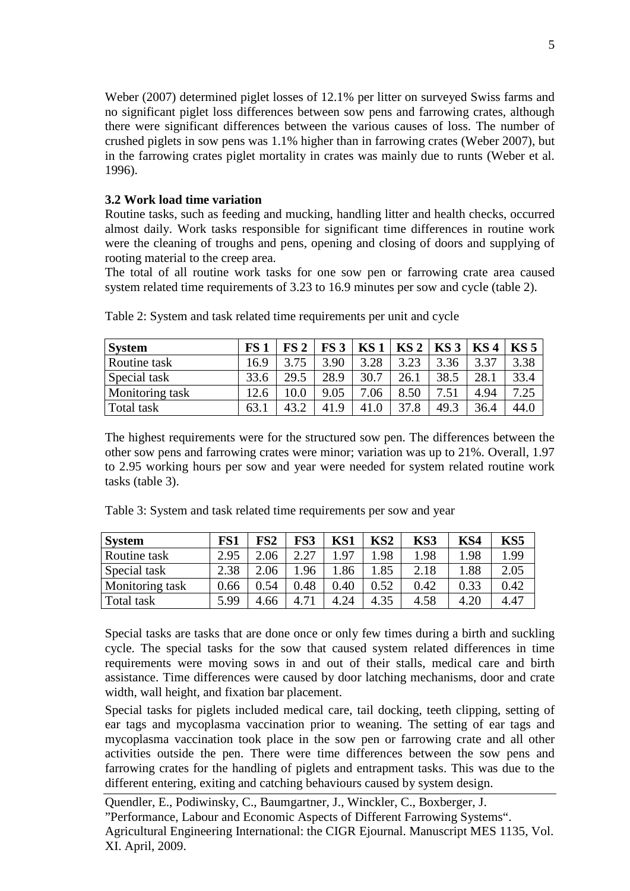Weber (2007) determined piglet losses of 12.1% per litter on surveyed Swiss farms and no significant piglet loss differences between sow pens and farrowing crates, although there were significant differences between the various causes of loss. The number of crushed piglets in sow pens was 1.1% higher than in farrowing crates (Weber 2007), but in the farrowing crates piglet mortality in crates was mainly due to runts (Weber et al. 1996).

## **3.2 Work load time variation**

Routine tasks, such as feeding and mucking, handling litter and health checks, occurred almost daily. Work tasks responsible for significant time differences in routine work were the cleaning of troughs and pens, opening and closing of doors and supplying of rooting material to the creep area.

The total of all routine work tasks for one sow pen or farrowing crate area caused system related time requirements of 3.23 to 16.9 minutes per sow and cycle (table 2).

| <b>System</b>   | FS <sub>1</sub> | FS 2         | FS <sub>3</sub> | KS <sub>1</sub> | KS <sub>2</sub> | KS <sub>3</sub> | KS <sub>4</sub> | $KS$ 5 |
|-----------------|-----------------|--------------|-----------------|-----------------|-----------------|-----------------|-----------------|--------|
| Routine task    | 16.9            |              | 3.90            | 3.28            | 3.23            | 3.36            |                 | 3.38   |
| Special task    | 33.6            | 29.5         | 28.9            | 30.7            | 26.1            | 38.5            | 28.1            | 33.4   |
| Monitoring task | 12.6            |              | 9.05            | .06             | 8.50            |                 | 4.94            | 7.25   |
| Total task      | 63.             | $\Delta$ 3 2 | 41.9            | 41.0            | 37.8            | 49.3            | 36.4            | 44.0   |

Table 2: System and task related time requirements per unit and cycle

The highest requirements were for the structured sow pen. The differences between the other sow pens and farrowing crates were minor; variation was up to 21%. Overall, 1.97 to 2.95 working hours per sow and year were needed for system related routine work tasks (table 3).

|  | Table 3: System and task related time requirements per sow and year |  |  |
|--|---------------------------------------------------------------------|--|--|
|  |                                                                     |  |  |

| <b>System</b>          | FS1  | FS2  | FS3  | KS1      | KS2  | KS3  | KS4  | KS5  |
|------------------------|------|------|------|----------|------|------|------|------|
| Routine task           | 2.95 | 2.06 | 2.27 | .97      | .98  | 1.98 | 1.98 | L.99 |
| Special task           | 2.38 | 2.06 | 1.96 | .86      | .85  | 2.18 | l.88 | 2.05 |
| <b>Monitoring task</b> | 0.66 | 0.54 | 0.48 | $0.40\,$ | 0.52 | 0.42 | 0.33 | 0.42 |
| Total task             | 5.99 | 4.66 | 4.71 | 4.24     | 4.35 | 4.58 | 4.20 | 4.47 |

Special tasks are tasks that are done once or only few times during a birth and suckling cycle. The special tasks for the sow that caused system related differences in time requirements were moving sows in and out of their stalls, medical care and birth assistance. Time differences were caused by door latching mechanisms, door and crate width, wall height, and fixation bar placement.

Special tasks for piglets included medical care, tail docking, teeth clipping, setting of ear tags and mycoplasma vaccination prior to weaning. The setting of ear tags and mycoplasma vaccination took place in the sow pen or farrowing crate and all other activities outside the pen. There were time differences between the sow pens and farrowing crates for the handling of piglets and entrapment tasks. This was due to the different entering, exiting and catching behaviours caused by system design.

Quendler, E., Podiwinsky, C., Baumgartner, J., Winckler, C., Boxberger, J. "Performance, Labour and Economic Aspects of Different Farrowing Systems". Agricultural Engineering International: the CIGR Ejournal. Manuscript MES 1135, Vol. XI. April, 2009.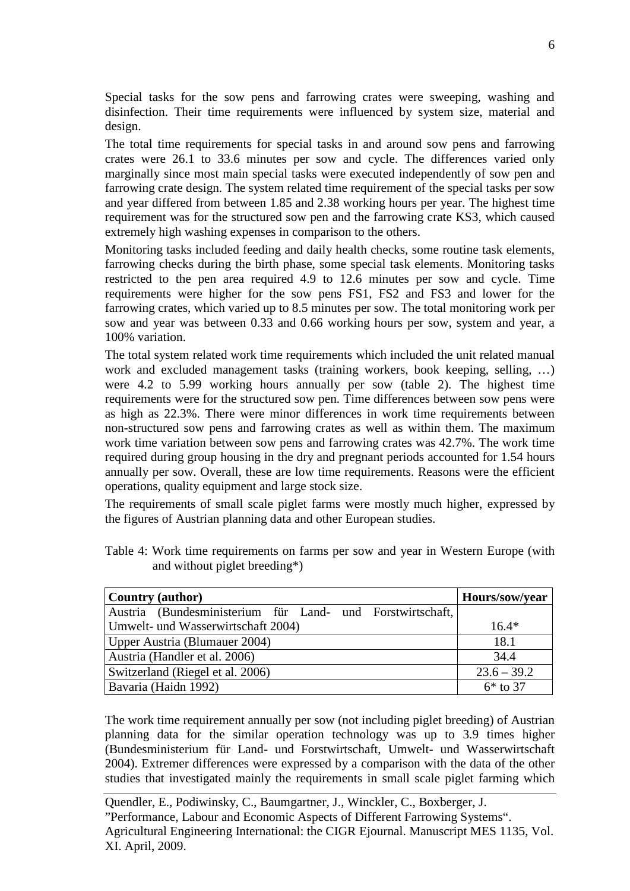Special tasks for the sow pens and farrowing crates were sweeping, washing and disinfection. Their time requirements were influenced by system size, material and design.

The total time requirements for special tasks in and around sow pens and farrowing crates were 26.1 to 33.6 minutes per sow and cycle. The differences varied only marginally since most main special tasks were executed independently of sow pen and farrowing crate design. The system related time requirement of the special tasks per sow and year differed from between 1.85 and 2.38 working hours per year. The highest time requirement was for the structured sow pen and the farrowing crate KS3, which caused extremely high washing expenses in comparison to the others.

Monitoring tasks included feeding and daily health checks, some routine task elements, farrowing checks during the birth phase, some special task elements. Monitoring tasks restricted to the pen area required 4.9 to 12.6 minutes per sow and cycle. Time requirements were higher for the sow pens FS1, FS2 and FS3 and lower for the farrowing crates, which varied up to 8.5 minutes per sow. The total monitoring work per sow and year was between 0.33 and 0.66 working hours per sow, system and year, a 100% variation.

The total system related work time requirements which included the unit related manual work and excluded management tasks (training workers, book keeping, selling, …) were 4.2 to 5.99 working hours annually per sow (table 2). The highest time requirements were for the structured sow pen. Time differences between sow pens were as high as 22.3%. There were minor differences in work time requirements between non-structured sow pens and farrowing crates as well as within them. The maximum work time variation between sow pens and farrowing crates was 42.7%. The work time required during group housing in the dry and pregnant periods accounted for 1.54 hours annually per sow. Overall, these are low time requirements. Reasons were the efficient operations, quality equipment and large stock size.

The requirements of small scale piglet farms were mostly much higher, expressed by the figures of Austrian planning data and other European studies.

| <b>Country (author)</b>                                   | Hours/sow/year |
|-----------------------------------------------------------|----------------|
| Austria (Bundesministerium für Land- und Forstwirtschaft, |                |
| Umwelt- und Wasserwirtschaft 2004)                        | $16.4*$        |
| Upper Austria (Blumauer 2004)                             | 18.1           |
| Austria (Handler et al. 2006)                             | 34.4           |
| Switzerland (Riegel et al. 2006)                          | $23.6 - 39.2$  |
| Bavaria (Haidn 1992)                                      | $6*$ to 37     |

Table 4: Work time requirements on farms per sow and year in Western Europe (with and without piglet breeding\*)

The work time requirement annually per sow (not including piglet breeding) of Austrian planning data for the similar operation technology was up to 3.9 times higher (Bundesministerium für Land- und Forstwirtschaft, Umwelt- und Wasserwirtschaft 2004). Extremer differences were expressed by a comparison with the data of the other studies that investigated mainly the requirements in small scale piglet farming which

Quendler, E., Podiwinsky, C., Baumgartner, J., Winckler, C., Boxberger, J. "Performance, Labour and Economic Aspects of Different Farrowing Systems". Agricultural Engineering International: the CIGR Ejournal. Manuscript MES 1135, Vol. XI. April, 2009.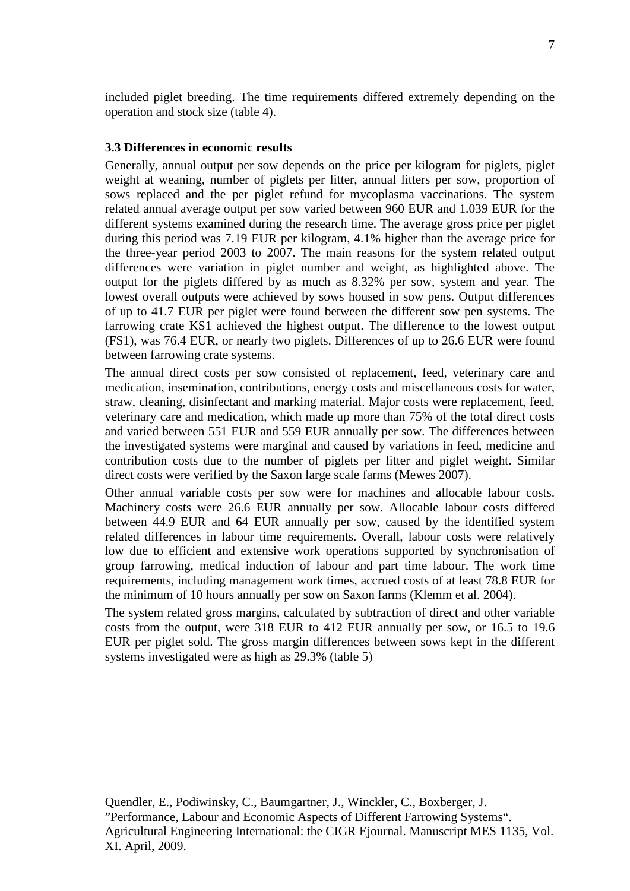included piglet breeding. The time requirements differed extremely depending on the operation and stock size (table 4).

### **3.3 Differences in economic results**

Generally, annual output per sow depends on the price per kilogram for piglets, piglet weight at weaning, number of piglets per litter, annual litters per sow, proportion of sows replaced and the per piglet refund for mycoplasma vaccinations. The system related annual average output per sow varied between 960 EUR and 1.039 EUR for the different systems examined during the research time. The average gross price per piglet during this period was 7.19 EUR per kilogram, 4.1% higher than the average price for the three-year period 2003 to 2007. The main reasons for the system related output differences were variation in piglet number and weight, as highlighted above. The output for the piglets differed by as much as 8.32% per sow, system and year. The lowest overall outputs were achieved by sows housed in sow pens. Output differences of up to 41.7 EUR per piglet were found between the different sow pen systems. The farrowing crate KS1 achieved the highest output. The difference to the lowest output (FS1), was 76.4 EUR, or nearly two piglets. Differences of up to 26.6 EUR were found between farrowing crate systems.

The annual direct costs per sow consisted of replacement, feed, veterinary care and medication, insemination, contributions, energy costs and miscellaneous costs for water, straw, cleaning, disinfectant and marking material. Major costs were replacement, feed, veterinary care and medication, which made up more than 75% of the total direct costs and varied between 551 EUR and 559 EUR annually per sow. The differences between the investigated systems were marginal and caused by variations in feed, medicine and contribution costs due to the number of piglets per litter and piglet weight. Similar direct costs were verified by the Saxon large scale farms (Mewes 2007).

Other annual variable costs per sow were for machines and allocable labour costs. Machinery costs were 26.6 EUR annually per sow. Allocable labour costs differed between 44.9 EUR and 64 EUR annually per sow, caused by the identified system related differences in labour time requirements. Overall, labour costs were relatively low due to efficient and extensive work operations supported by synchronisation of group farrowing, medical induction of labour and part time labour. The work time requirements, including management work times, accrued costs of at least 78.8 EUR for the minimum of 10 hours annually per sow on Saxon farms (Klemm et al. 2004).

The system related gross margins, calculated by subtraction of direct and other variable costs from the output, were 318 EUR to 412 EUR annually per sow, or 16.5 to 19.6 EUR per piglet sold. The gross margin differences between sows kept in the different systems investigated were as high as 29.3% (table 5)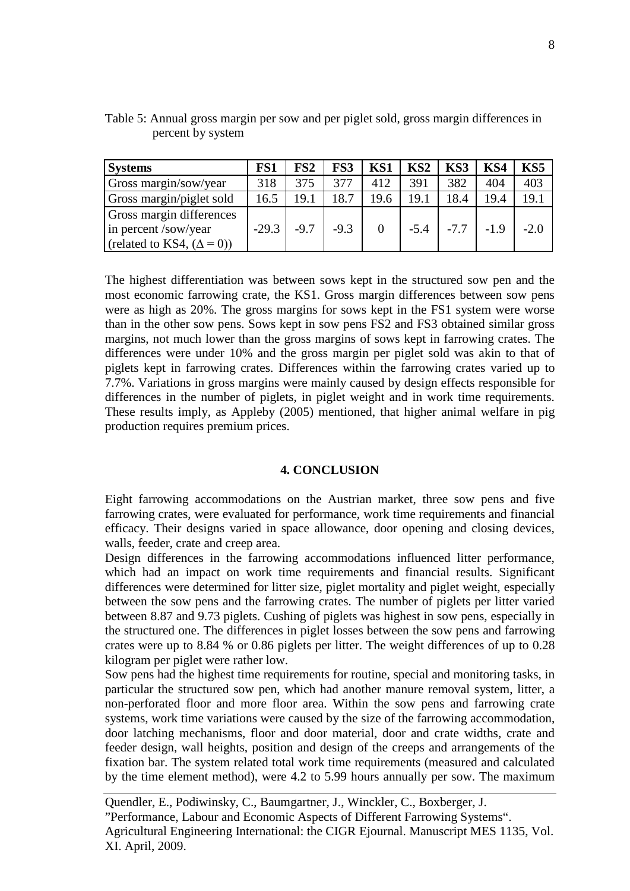| <b>Systems</b>                                                                        | FS1     | FS2    | FS3    | KS1  | KS <sub>2</sub> | KS3           | KS4  | KS5    |
|---------------------------------------------------------------------------------------|---------|--------|--------|------|-----------------|---------------|------|--------|
| Gross margin/sow/year                                                                 | 318     | 375    | 377    | 412  | 391             | 382           | 404  | 403    |
| Gross margin/piglet sold                                                              | 16.5    | 19.1   | 18.7   | 19.6 | 19.1            | 18.4          | 19.4 | 19.1   |
| Gross margin differences<br>in percent /sow/year<br>(related to KS4, $(\Delta = 0)$ ) | $-29.3$ | $-9.7$ | $-9.3$ |      | $-5.4$          | $-7.7$ $-1.9$ |      | $-2.0$ |

Table 5: Annual gross margin per sow and per piglet sold, gross margin differences in percent by system

The highest differentiation was between sows kept in the structured sow pen and the most economic farrowing crate, the KS1. Gross margin differences between sow pens were as high as 20%. The gross margins for sows kept in the FS1 system were worse than in the other sow pens. Sows kept in sow pens FS2 and FS3 obtained similar gross margins, not much lower than the gross margins of sows kept in farrowing crates. The differences were under 10% and the gross margin per piglet sold was akin to that of piglets kept in farrowing crates. Differences within the farrowing crates varied up to 7.7%. Variations in gross margins were mainly caused by design effects responsible for differences in the number of piglets, in piglet weight and in work time requirements. These results imply, as Appleby (2005) mentioned, that higher animal welfare in pig production requires premium prices.

### **4. CONCLUSION**

Eight farrowing accommodations on the Austrian market, three sow pens and five farrowing crates, were evaluated for performance, work time requirements and financial efficacy. Their designs varied in space allowance, door opening and closing devices, walls, feeder, crate and creep area.

Design differences in the farrowing accommodations influenced litter performance, which had an impact on work time requirements and financial results. Significant differences were determined for litter size, piglet mortality and piglet weight, especially between the sow pens and the farrowing crates. The number of piglets per litter varied between 8.87 and 9.73 piglets. Cushing of piglets was highest in sow pens, especially in the structured one. The differences in piglet losses between the sow pens and farrowing crates were up to 8.84 % or 0.86 piglets per litter. The weight differences of up to 0.28 kilogram per piglet were rather low.

Sow pens had the highest time requirements for routine, special and monitoring tasks, in particular the structured sow pen, which had another manure removal system, litter, a non-perforated floor and more floor area. Within the sow pens and farrowing crate systems, work time variations were caused by the size of the farrowing accommodation, door latching mechanisms, floor and door material, door and crate widths, crate and feeder design, wall heights, position and design of the creeps and arrangements of the fixation bar. The system related total work time requirements (measured and calculated by the time element method), were 4.2 to 5.99 hours annually per sow. The maximum

Quendler, E., Podiwinsky, C., Baumgartner, J., Winckler, C., Boxberger, J. "Performance, Labour and Economic Aspects of Different Farrowing Systems". Agricultural Engineering International: the CIGR Ejournal. Manuscript MES 1135, Vol. XI. April, 2009.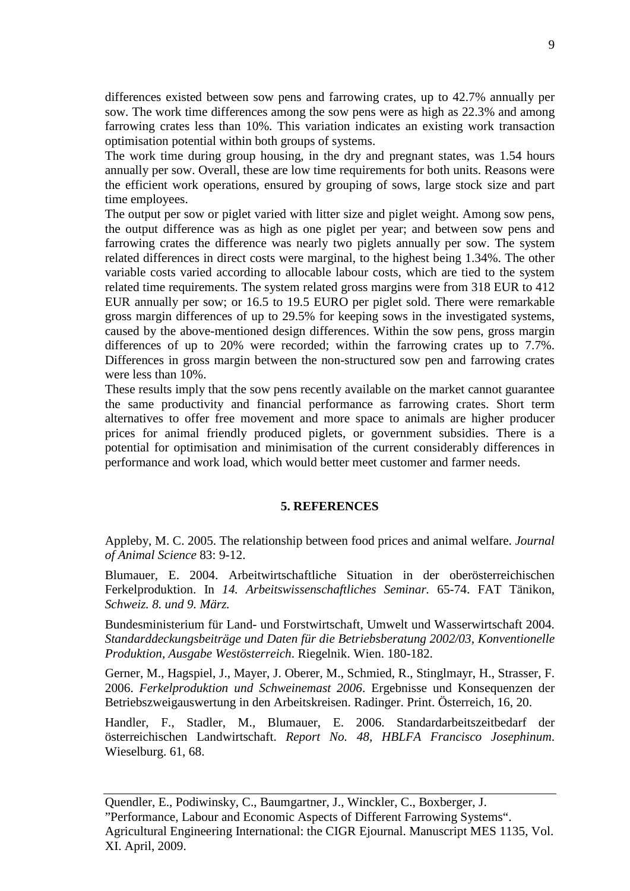differences existed between sow pens and farrowing crates, up to 42.7% annually per sow. The work time differences among the sow pens were as high as 22.3% and among farrowing crates less than 10%. This variation indicates an existing work transaction optimisation potential within both groups of systems.

The work time during group housing, in the dry and pregnant states, was 1.54 hours annually per sow. Overall, these are low time requirements for both units. Reasons were the efficient work operations, ensured by grouping of sows, large stock size and part time employees.

The output per sow or piglet varied with litter size and piglet weight. Among sow pens, the output difference was as high as one piglet per year; and between sow pens and farrowing crates the difference was nearly two piglets annually per sow. The system related differences in direct costs were marginal, to the highest being 1.34%. The other variable costs varied according to allocable labour costs, which are tied to the system related time requirements. The system related gross margins were from 318 EUR to 412 EUR annually per sow; or 16.5 to 19.5 EURO per piglet sold. There were remarkable gross margin differences of up to 29.5% for keeping sows in the investigated systems, caused by the above-mentioned design differences. Within the sow pens, gross margin differences of up to 20% were recorded; within the farrowing crates up to 7.7%. Differences in gross margin between the non-structured sow pen and farrowing crates were less than 10%.

These results imply that the sow pens recently available on the market cannot guarantee the same productivity and financial performance as farrowing crates. Short term alternatives to offer free movement and more space to animals are higher producer prices for animal friendly produced piglets, or government subsidies. There is a potential for optimisation and minimisation of the current considerably differences in performance and work load, which would better meet customer and farmer needs.

#### **5. REFERENCES**

Appleby, M. C. 2005. The relationship between food prices and animal welfare. *Journal of Animal Science* 83: 9-12.

Blumauer, E. 2004. Arbeitwirtschaftliche Situation in der oberösterreichischen Ferkelproduktion. In *14. Arbeitswissenschaftliches Seminar.* 65-74. FAT Tänikon, *Schweiz. 8. und 9. März.*

Bundesministerium für Land- und Forstwirtschaft, Umwelt und Wasserwirtschaft 2004. *Standarddeckungsbeiträge und Daten für die Betriebsberatung 2002/03, Konventionelle Produktion, Ausgabe Westösterreich*. Riegelnik. Wien. 180-182.

Gerner, M., Hagspiel, J., Mayer, J. Oberer, M., Schmied, R., Stinglmayr, H., Strasser, F. 2006. *Ferkelproduktion und Schweinemast 2006*. Ergebnisse und Konsequenzen der Betriebszweigauswertung in den Arbeitskreisen. Radinger. Print. Österreich, 16, 20.

Handler, F., Stadler, M., Blumauer, E. 2006. Standardarbeitszeitbedarf der österreichischen Landwirtschaft. *Report No. 48, HBLFA Francisco Josephinum*. Wieselburg. 61, 68.

Quendler, E., Podiwinsky, C., Baumgartner, J., Winckler, C., Boxberger, J. "Performance, Labour and Economic Aspects of Different Farrowing Systems". Agricultural Engineering International: the CIGR Ejournal. Manuscript MES 1135, Vol. XI. April, 2009.